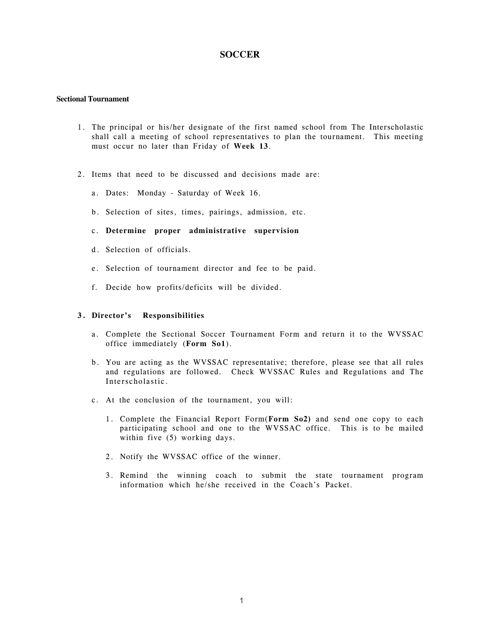## **SOCCER**

#### **Sectional Tournament**

- 1. The principal or his/her designate of the first named school from The Interscholastic shall call a meeting of school representatives to plan the tournament. This meeting must occur no later than Friday of **Week 13**.
- 2. Items that need to be discussed and decisions made are:
	- a. Dates: Monday Saturday of Week 16.
	- b. Selection of sites, times, pairings, admission, etc.
	- c. **Determine proper administrative supervision**
	- d. Selection of officials.
	- e. Selection of tournament director and fee to be paid.
	- f. Decide how profits/deficits will be divided.

#### **3. Director's Responsibilities**

- a. Complete the Sectional Soccer Tournament Form and return it to the WVSSAC office immediately (**Form So1**).
- b. You are acting as the WVSSAC representative; therefore, please see that all rules and regulations are followed. Check WVSSAC Rules and Regulations and The Interscholastic.
- c. At the conclusion of the tournament, you will:
	- 1. Complete the Financial Report Form(**Form So2)** and send one copy to each participating school and one to the WVSSAC office. This is to be mailed within five (5) working days.
	- 2. Notify the WVSSAC office of the winner.
	- 3. Remind the winning coach to submit the state tournament program information which he/she received in the Coach's Packet.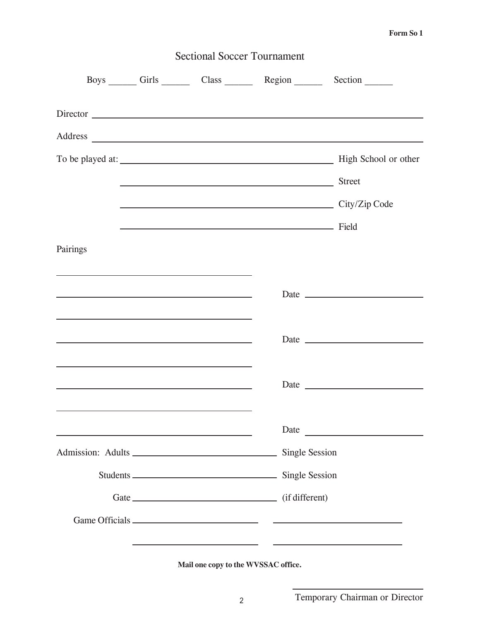### **Form So 1**

| <b>Sectional Soccer Tournament</b>                                                                                                                                                                                            |  |  |                    |                                                 |  |  |  |  |
|-------------------------------------------------------------------------------------------------------------------------------------------------------------------------------------------------------------------------------|--|--|--------------------|-------------------------------------------------|--|--|--|--|
|                                                                                                                                                                                                                               |  |  |                    | Boys Girls Class Region Section                 |  |  |  |  |
| Director                                                                                                                                                                                                                      |  |  |                    |                                                 |  |  |  |  |
|                                                                                                                                                                                                                               |  |  |                    |                                                 |  |  |  |  |
|                                                                                                                                                                                                                               |  |  |                    | To be played at: High School or other           |  |  |  |  |
|                                                                                                                                                                                                                               |  |  | Street             |                                                 |  |  |  |  |
|                                                                                                                                                                                                                               |  |  |                    | City/Zip Code                                   |  |  |  |  |
|                                                                                                                                                                                                                               |  |  | <u>Field</u> Field |                                                 |  |  |  |  |
| Pairings                                                                                                                                                                                                                      |  |  |                    |                                                 |  |  |  |  |
|                                                                                                                                                                                                                               |  |  |                    |                                                 |  |  |  |  |
| <u> 1989 - Johann Stoff, amerikansk politiker (d. 1989)</u>                                                                                                                                                                   |  |  |                    |                                                 |  |  |  |  |
|                                                                                                                                                                                                                               |  |  |                    |                                                 |  |  |  |  |
| the control of the control of the control of the control of the control of the control of the control of the control of the control of the control of the control of the control of the control of the control of the control |  |  |                    |                                                 |  |  |  |  |
|                                                                                                                                                                                                                               |  |  |                    |                                                 |  |  |  |  |
|                                                                                                                                                                                                                               |  |  |                    |                                                 |  |  |  |  |
|                                                                                                                                                                                                                               |  |  |                    |                                                 |  |  |  |  |
|                                                                                                                                                                                                                               |  |  |                    | Date <u>and the second of the second second</u> |  |  |  |  |
|                                                                                                                                                                                                                               |  |  |                    |                                                 |  |  |  |  |
|                                                                                                                                                                                                                               |  |  |                    |                                                 |  |  |  |  |
|                                                                                                                                                                                                                               |  |  |                    |                                                 |  |  |  |  |
|                                                                                                                                                                                                                               |  |  |                    |                                                 |  |  |  |  |
|                                                                                                                                                                                                                               |  |  |                    |                                                 |  |  |  |  |

**Mail one copy to the WVSSAC office.**